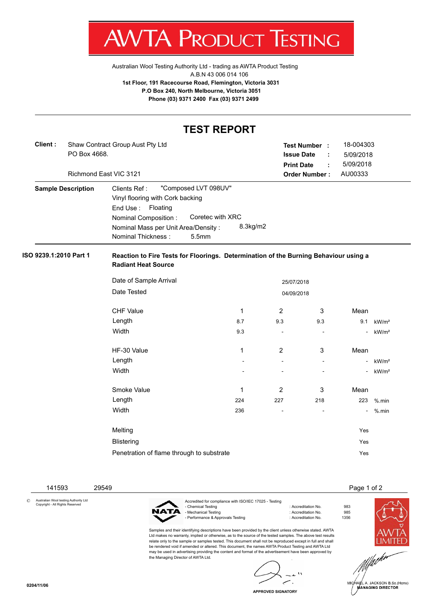

[Australian Wool Testing Authority Ltd - trading as AWTA Product Testing](http://www.awtaproducttesting.com.au/) A.B.N 43 006 014 106 **1st Floor, 191 Racecourse Road, Flemington, Victoria 3031 P.O Box 240, North Melbourne, Victoria 3051 Phone (03) 9371 2400 Fax (03) 9371 2499**

## **TEST REPORT**

| Client : | Shaw Contract Group Aust Pty Ltd |
|----------|----------------------------------|
|          | PO Box 4668.                     |
|          |                                  |

Richmond East VIC 3121

| Test Number:            | 18-004303 |
|-------------------------|-----------|
| <b>Issue Date</b><br>÷. | 5/09/2018 |
| <b>Print Date</b>       | 5/09/2018 |
| <b>Order Number:</b>    | AU00333   |

| <b>Sample Description</b>           | Clients Ref: "Composed LVT 098UV" |  |                  |          |
|-------------------------------------|-----------------------------------|--|------------------|----------|
|                                     | Vinyl flooring with Cork backing  |  |                  |          |
|                                     | End Use : Floating                |  |                  |          |
|                                     | Nominal Composition:              |  | Coretec with XRC |          |
| Nominal Mass per Unit Area/Density: |                                   |  |                  | 8.3kg/m2 |
|                                     | Nominal Thickness:                |  | 5.5mm            |          |

## **ISO 9239.1:2010 Part 1 Reaction to Fire Tests for Floorings. Determination of the Burning Behaviour using a Radiant Heat Source**

| Date of Sample Arrival                    |            | 25/07/2018               |                          |      |                   |
|-------------------------------------------|------------|--------------------------|--------------------------|------|-------------------|
| Date Tested                               | 04/09/2018 |                          |                          |      |                   |
| <b>CHF Value</b>                          | 1          | 2                        | 3                        | Mean |                   |
| Length                                    | 8.7        | 9.3                      | 9.3                      | 9.1  | kW/m <sup>2</sup> |
| Width                                     | 9.3        |                          |                          |      | kW/m <sup>2</sup> |
| HF-30 Value                               | 1          | 2                        | 3                        | Mean |                   |
| Length                                    |            | $\overline{\phantom{a}}$ | $\overline{\phantom{a}}$ |      | kW/m <sup>2</sup> |
| Width                                     |            |                          |                          |      | kW/m <sup>2</sup> |
| Smoke Value                               | 1          | 2                        | 3                        | Mean |                   |
| Length                                    | 224        | 227                      | 218                      | 223  | $%$ .min          |
| Width                                     | 236        |                          |                          |      | $%$ .min          |
| Melting                                   |            |                          |                          | Yes  |                   |
| <b>Blistering</b>                         |            |                          |                          | Yes  |                   |
| Penetration of flame through to substrate |            |                          |                          | Yes  |                   |

141593 29549 Page 1 of 2

© Australian Wool testing Authority Ltd Copyright - All Rights Reserved



the Managing Director of AWTA Ltd.

Accredited for compliance with ISO/IEC 17025 - Testing - Chemical Testing : Accreditation No. 983<br>- Mechanical Testing : Accreditation No. 985<br>- Accreditation No. 985 - Mechanical Testing : Accreditation No. 985<br>- Performance & Approvals Testing : Accreditation No. 61356 - Performance & Approvals Testing

Samples and their identifying descriptions have been provided by the client unless otherwise stated. AWTA Ltd makes no warranty, implied or otherwise, as to the source of the tested samples. The above test results relate only to the sample or samples tested. This document shall not be reproduced except in full and shall be rendered void if amended or altered. This document, the names AWTA Product Testing and AWTA Ltd may be used in advertising providing the content and format of the advertisement have been approved by





A. JACKSON B.Sc.(Hons) **MANAGING DIRECTOR** 

**APPROVED SIGNATORY**